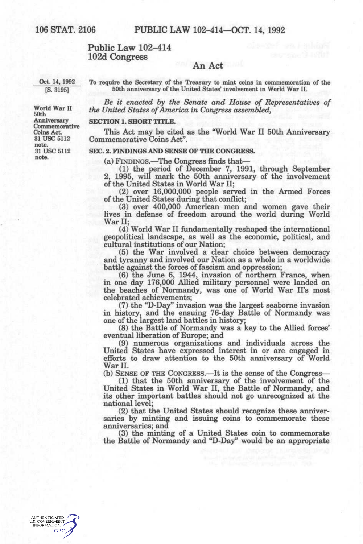### **Public Law 102-414 102d Congress**

### **An Act**

Oct. 14, 1992 [S. 3195]

To require the Secretary of the Treasury to mint coins in commemoration of the 50th anniversary of the United States' involvement in World War II.

*Be it enacted by the Senate and House of Representatives of the United States of America in Congress assembled,* 

### **SECTION 1. SHORT TITLE.**

This Act may be cited as the "World War II 50th Anniversary Commemorative Coins Act".

#### **SEC. 2. FINDINGS AND SENSE OF THE CONGRESS.**

(a) FINDINGS.—^The Congress finds that—

(1) the period of December 7, 1991, through September 2, 1995, will mark the 50th anniversary of the involvement of the United States in World War II;

(2) over 16,000,000 people served in the Armed Forces of the United States during that conflict;

(3) over 400,000 American men and women gave their lives in defense of freedom around the world during World War II;

(4) World War II fundamentally reshaped the international geopolitical landscape, as well as the economic, political, and cultural institutions of our Nation;

(5) the War involved a clear choice between democracy and tyranny and involved our Nation as a whole in a worldwide battle against the forces of fascism and oppression;

(6) the June 6, 1944, invasion of northern France, when in one day 176,000 Allied military personnel were landed on the beaches of Normandy, was one of World War IFs most celebrated achievements;

(7) the "D-Day" invasion was the largest seaborne invasion in history, and the ensuing 76-day Battle of Normandy was one of the largest land battles in history;

(8) the Battle of Normandy was a key to the Allied forces' eventual liberation of Europe; and

(9) numerous organizations and individuals across the United States have expressed interest in or are engaged in efforts to draw attention to the 50th anniversary of World War II.

(b) SENSE OF THE CONGRESS.—It is the sense of the Congress—

(1) that the 50th anniversary of the involvement of the United States in World War II, the Battle of Normandy, and its other important battles should not go unrecognized at the national level;

(2) that the United States should recognize these anniversaries by minting and issuing coins to commemorate these anniversaries; and

(3) the minting of a United States coin to commemorate the Battle of Normandy and "D-Day" would be an appropriate

World War II 50th Anniversary Commemorative Coins Act. 31 USC 5112 note. 31 USC 5112 note.

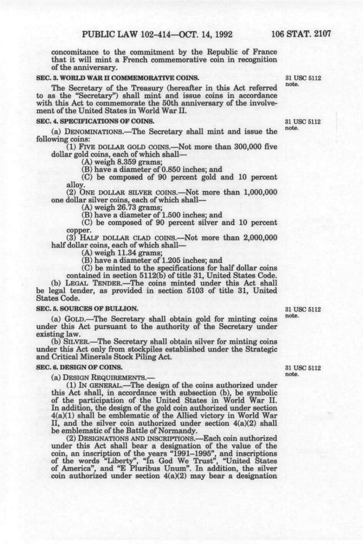concomitance to the commitment by the Republic of France that it will mint a French commemorative coin in recognition of the anniversary.

# **SEC. 3. WORLD WAR II COMMEMORATIVE COINS.** 31 USC 5112

The Secretary of the Treasury (hereafter in this Act referred to as the "Secretary") shall mint and issue coins in accordance with this Act to commemorate the 50th anniversary of the involvement of the United States in World War II.

# **SEC. 4. SPECIFICATIONS OF COINS.** 31 USC 5112

(a) DENOMINATIONS.—^The Secretary shall mint and issue the *^°^'*  following coins:

(1) FIVE DOLLAR GOLD COINS.—Not more than 300,000 five dollar gold coins, each of which shall—

(A) weigh 8.359 grams;

(B) have a diameter of 0.850 inches; and

(C) be composed of 90 percent gold and 10 percent alloy.

(2) ONE DOLLAR SILVER COINS.—^Not more than 1,000,000 one dollar silver coins, each of which shall—

(A) weigh 26.73 grams;

(B) have a diameter of 1.500 inches; and

(C) be composed of 90 percent silver and 10 percent copper.

(3) HALF DOLLAR CLAD COINS.—Not more than 2,000,000 half dollar coins, each of which shall—

(A) weigh 11.34 grams;

(B) have a diameter of 1.205 inches; and

(C) be minted to the specifications for half dollar coins

contained in section 5112(b) of title 31, United States Code. (b) LEGAL TENDER.—^The coins minted under this Act shall be legal tender, as provided in section 5103 of title 31, United States Code.

**SEC. 5. SOURCES OF BULLION.** 31 USC 5112 (a) GOLD.—The Secretary shall obtain gold for minting coins under this Act pursuant to the authority of the Secretary under existing law.

(b) SILVER.—^The Secretary shall obtain silver for minting coins under this Act only from stockpiles established under the Strategic and Critical Minerals Stock Piling Act.

#### **SEC. 6. DESIGN OF COINS.** 31 USC 5112

(a) DESIGN REQUIREMENTS.— "\*\*\*®"

(1) IN GENERAL.—^The design of the coins authorized under this Act shall, in accordance with subsection (b), be symbolic of the participation of the United States in World War II. In addition, the design of the gold coin authorized under section 4(a)(1) shall be emblematic of the Allied victory in World War II, and the silver coin authorized under section 4(a)(2) shall be emblematic of the Battle of Normandy.

(2) DESIGNATIONS AND INSCRIPTIONS.—Each coin authorized under this Act shall bear a designation of the value of the coin, an inscription of the years "1991-1995", and inscriptions of the words "Liberty", "In God We Trust", "United States of America", and "E Pluribus Unum". In addition, the silver coin authorized under section  $4(a)(2)$  may bear a designation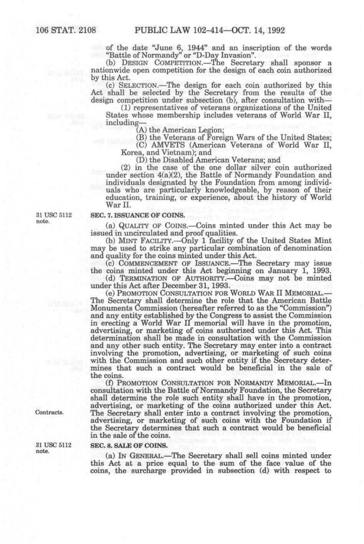of the date "June 6, 1944" and an inscription of the words "Battle of Normandy" or "D-Day Invasion".

(b) DESIGN COMPETITION.—The Secretary shall sponsor a nationwide open competition for the design of each coin authorized by this Act.

(c) SELECTION.—The design for each coin authorized by this Act shall be selected by the Secretary from the results of the design competition under subsection (b), after consultation with—

(1) representatives of veterans organizations of the United States whose membership includes veterans of World War II, including—

(A) the American Legion;

(B) the Veterans of Foreign Wars of the United States;

(C) AMVETS (American Veterans of World War II, Korea, and Vietnam); and

(D) the Disabled American Veterans; and

(2) in the case of the one dollar silver coin authorized under section 4(a)(2), the Battle of Normandy Foundation and individuals designated by the Foundation from among individuals who are particularly knowledgeable, by reason of their education, training, or experience, about the history of World War II.

31 USC 5112 note.

#### SEC. 7. ISSUANCE OF COINS.

(a) QUALITY OF COINS.—Coins minted under this Act may be issued in uncirculated and proof qualities.

(b) MINT FACILITY.—Only 1 facility of the United States Mint may be used to strike any particular combination of denomination and quality for the coins minted under this Act.

(c) COMMENCEMENT OF ISSUANCE.—^The Secretary may issue the coins minted under this Act beginning on January 1, 1993.

(d) TERMINATION OF AUTHORITY.—Coins may not be minted under this Act after December 31, 1993.

(e) PROMOTION CONSULTATION FOR WORLD WAR II MEMORIAL.-The Secretary shall determine the role that the American Battle Monuments Commission (hereafter referred to as the "Commission") and any entity established by the Congress to assist the Commission in erecting a World War II memorial will have in the promotion, advertising, or marketing of coins authorized under this Act. This determination shall be made in consultation with the Commission and any other such entity. The Secretary may enter into a contract involving the promotion, advertising, or marketing of such coins with the Commission and such other entity if the Secretary determines that such a contract would be beneficial in the sale of the coins.

(f) PROMOTION CONSULTATION FOR NORMANDY MEMORIAL.—In consultation with the Battle of Normandy Foundation, the Secretary shall determine the role such entity shall have in the promotion, advertising, or marketing of the coins authorized under this Act. The Secretary shall enter into a contract involving the promotion, advertising, or marketing of such coins with the Foundation if the Secretary determines that such a contract would be beneficial in the sale of the coins.

#### SEC. 8. SALE OF COINS.

(a) IN GENERAL.—^The Secretary shall sell coins minted under this Act at a price equal to the sum of the face value of the coins, the surcharge provided in subsection (d) with respect to

Contracts.

31 USC 5112 note.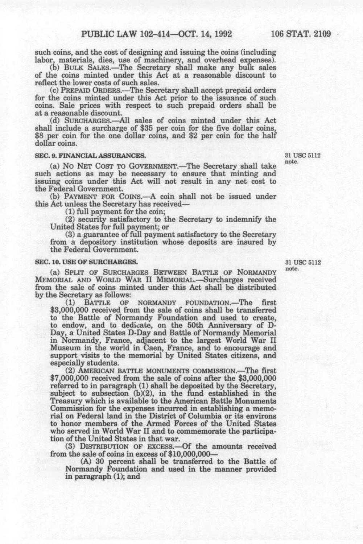such coins, and the cost of designing and issuing the coins (including labor, materials, dies, use of machinery, and overhead expenses),

(b) BULK SALES.—The Secretary shall make any bulk sales of the coins minted under this Act at a reasonable discount to reflect the lower costs of such sales.

(c) PREPAID ORDERS.—The Secretary shall accept prepaid orders for the coins minted under this Act prior to the issuance of such coins. Sale prices with respect to such prepaid orders shall be at a reasonable discount.

(d) SURCHARGES.—^All sales of coins minted under this Act shall include a surcharge of \$35 per coin for the five dollar coins, \$8 per coin for the one dollar coins, and \$2 per coin for the half dollar coins.

# **SEC. 9. FINANCIAL ASSURANCES.** 31 USC 5112 **31 USC 5112**

(a) No NET COST TO GOVERNMENT.—The Secretary shall take such actions as may be necessary to ensure that minting and issuing coins under this Act will not result in any net cost to the Federal Government.

(b) PAYMENT FOR COINS.—A coin shall not be issued under this Act unless the Secretary has received—

(1) full payment for the coin;

(2) security satisfactory to the Secretary to indemnify the United States for full payment; or

(3) a guarantee of full payment satisfactory to the Secretary from a depository institution whose deposits are insured by the Federal Government.

# **SEC. 10. USE OF SURCHARGES.** 31 USC 5112

(a) SPLIT OF SURCHARGES BETWEEN BATTLE OF NORMANDY MEMORIAL AND WORLD WAR II MEMORIAL.—Surcharges received from the sale of coins minted under this Act shall be distributed by the Secretary as follows:<br>(1) BATTLE OF

BATTLE OF NORMANDY FOUNDATION.—The first \$3,000,000 received from the sale of coins shall be transferred to the Battle of Normandy Foundation and used to create, to endow, and to dedicate, on the 50th Anniversary of D-Day, a United States D-Day and Battle of Normandy Memorial in Normandy, France, adjacent to the largest World War II Museum in the world in Caen, France, and to encourage and support visits to the memorial by United States citizens, and especially students.

(2) AMERICAN BATTLE MONUMENTS COMMISSION.—The first \$7,000,000 received from the sale of coins after the \$3,000,000 referred to in paragraph (1) shall be deposited by the Secretary, subject to subsection (b)(2), in the fund established in the Treasury which is available to the American Battle Monuments Commission for the expenses incurred in establishing a memorial on Federal land in the District of Columbia or its environs to honor members of the Armed Forces of the United States who served in World War II and to commemorate the participation of the United States in that war.

(3) DISTRIBUTION OF EXCESS.—Of the amounts received from the sale of coins in excess of \$10,000,000—

(A) 30 percent shall be transferred to the Battle of Normandy Foundation and used in the manner provided in paragraph (1); and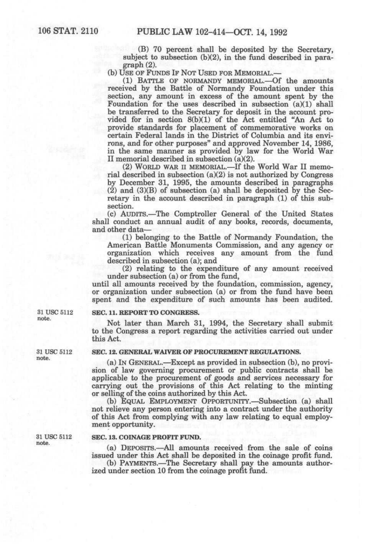(B) 70 percent shall be deposited by the Secretary, subject to subsection (b)(2), in the fund described in paragraph (2).

(b) USE OF FUNDS IF NOT USED FOR MEMORIAL.—

(1) BATTLE OF NORMANDY MEMORIAL.-Of the amounts received by the Battle of Normandy Foundation under this section, any amount in excess of the amount spent by the Foundation for the uses described in subsection (a)(1) shall be transferred to the Secretary for deposit in the account provided for in section 8(b)(1) of the Act entitled "An Act to provide standards for placement of commemorative works on certain Federal lands in the District of Columbia and its environs, and for other purposes" and approved November 14, 1986, in the same manner as provided by law for the World War II memorial described in subsection (a)(2).

(2) WORLD WAR II MEMORIAL.—If the World War II memorial described in subsection (a)(2) is not authorized by Congress by December 31, 1995, the amounts described in paragraphs  $(2)$  and  $(3)(B)$  of subsection (a) shall be deposited by the Secretary in the account described in paragraph (1) of this subsection.

(c) AUDITS.—^The Comptroller General of the United States shall conduct an annual audit of any books, records, documents, and other data—

(1) belonging to the Battle of Normandy Foundation, the American Battle Monuments Commission, and any agency or organization which receives any amount from the fund described in subsection (a); and

(2) relating to the expenditure of any amount received under subsection (a) or from the fund,

until all amounts received by the foundation, commission, agency, or organization under subsection (a) or from the fund have been spent and the expenditure of such amounts has been audited.

### $31$  USC  $5112$  SEC. 11. REPORT TO CONGRESS.

Not later than March 31, 1994, the Secretary shall submit to the Congress a report regarding the activities carried out under this Act.

# 31 USC 5112 SEC. 12. GENERAL WAIVER OF PROCUREMENT REGULATIONS.<br>note.

(a) IN GENERAL.—Except as provided in subsection (b), no provision of law governing procurement or public contracts shall be applicable to the procurement of goods and services necessary for carrying out the provisions of this Act relating to the minting or selling of the coins authorized by this Act.

(b) EQUAL EMPLOYMENT OPPORTUNITY.—Subsection (a) shall not relieve any person entering into a contract under the authority of this Act from complying with any law relating to equal employment opportunity.

### $31$  USC  $5112$  SEC. 13. COINAGE PROFIT FUND.

(a) DEPOSITS.—^All amounts received from the sale of coins issued under this Act shall be deposited in the coinage profit fund. (b) PAYMENTS.—The Secretary shall pay the amounts author-

ized under section 10 from the coinage profit fund.